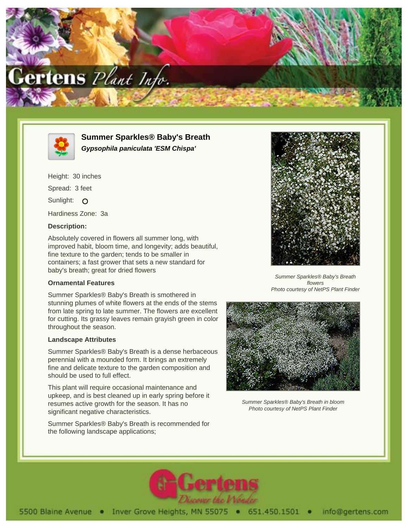



**Summer Sparkles® Baby's Breath Gypsophila paniculata 'ESM Chispa'**

Height: 30 inches Spread: 3 feet Sunlight: O Hardiness Zone: 3a

## **Description:**

Absolutely covered in flowers all summer long, with improved habit, bloom time, and longevity; adds beautiful, fine texture to the garden; tends to be smaller in containers; a fast grower that sets a new standard for baby's breath; great for dried flowers

## **Ornamental Features**

Summer Sparkles® Baby's Breath is smothered in stunning plumes of white flowers at the ends of the stems from late spring to late summer. The flowers are excellent for cutting. Its grassy leaves remain grayish green in color throughout the season.

## **Landscape Attributes**

Summer Sparkles® Baby's Breath is a dense herbaceous perennial with a mounded form. It brings an extremely fine and delicate texture to the garden composition and should be used to full effect.

This plant will require occasional maintenance and upkeep, and is best cleaned up in early spring before it resumes active growth for the season. It has no significant negative characteristics.

Summer Sparkles® Baby's Breath is recommended for the following landscape applications;



Summer Sparkles® Baby's Breath flowers Photo courtesy of NetPS Plant Finder



Summer Sparkles® Baby's Breath in bloom Photo courtesy of NetPS Plant Finder